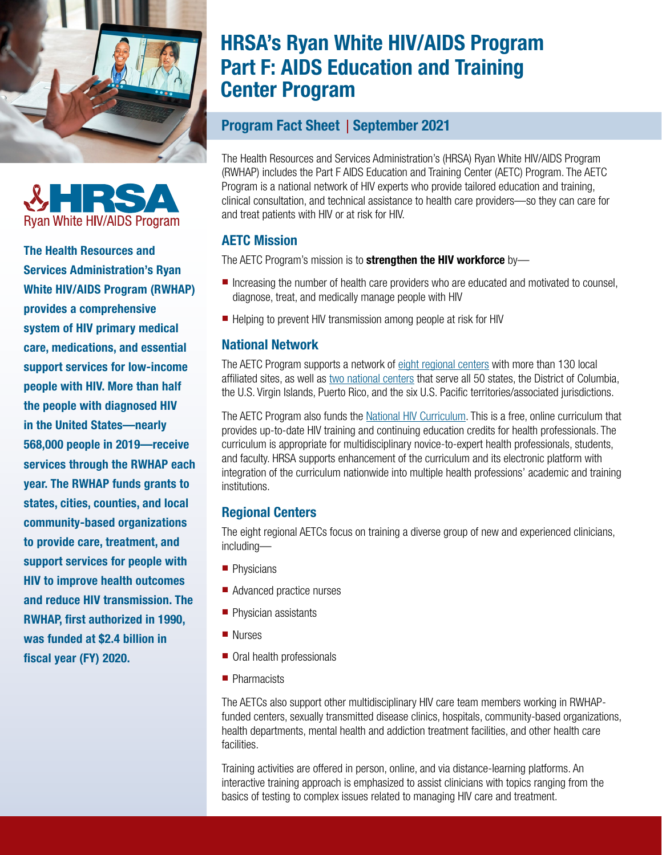



The Health Resources and Services Administration's Ryan White HIV/AIDS Program (RWHAP) provides a comprehensive system of HIV primary medical care, medications, and essential support services for low-income people with HIV. More than half the people with diagnosed HIV in the United States—nearly 568,000 people in 2019—receive services through the RWHAP each year. The RWHAP funds grants to states, cities, counties, and local community-based organizations to provide care, treatment, and support services for people with HIV to improve health outcomes and reduce HIV transmission. The RWHAP, first authorized in 1990, was funded at \$2.4 billion in fiscal year (FY) 2020.

# HRSA's Ryan White HIV/AIDS Program Part F: AIDS Education and Training Center Program

## Program Fact Sheet | September 2021

The Health Resources and Services Administration's (HRSA) Ryan White HIV/AIDS Program (RWHAP) includes the Part F AIDS Education and Training Center (AETC) Program. The AETC Program is a national network of HIV experts who provide tailored education and training, clinical consultation, and technical assistance to health care providers—so they can care for and treat patients with HIV or at risk for HIV.

## AETC Mission

The AETC Program's mission is to **strengthen the HIV workforce** by—

- Increasing the number of health care providers who are educated and motivated to counsel, diagnose, treat, and medically manage people with HIV
- Helping to prevent HIV transmission among people at risk for HIV

### National Network

The AETC Program supports a network of [eight regional centers](https://aidsetc.org/aetc-program/regional-offices) with more than 130 local affiliated sites, as well as [two national centers](https://aidsetc.org/aetc-program/national-centers) that serve all 50 states, the District of Columbia, the U.S. Virgin Islands, Puerto Rico, and the six U.S. Pacific territories/associated jurisdictions.

The AETC Program also funds the [National HIV Curriculum.](https://www.hiv.uw.edu/) This is a free, online curriculum that provides up-to-date HIV training and continuing education credits for health professionals. The curriculum is appropriate for multidisciplinary novice-to-expert health professionals, students, and faculty. HRSA supports enhancement of the curriculum and its electronic platform with integration of the curriculum nationwide into multiple health professions' academic and training institutions.

## Regional Centers

The eight regional AETCs focus on training a diverse group of new and experienced clinicians, including—

- Physicians
- Advanced practice nurses
- Physician assistants
- Nurses
- Oral health professionals
- Pharmacists

The AETCs also support other multidisciplinary HIV care team members working in RWHAPfunded centers, sexually transmitted disease clinics, hospitals, community-based organizations, health departments, mental health and addiction treatment facilities, and other health care facilities.

Training activities are offered in person, online, and via distance-learning platforms. An interactive training approach is emphasized to assist clinicians with topics ranging from the basics of testing to complex issues related to managing HIV care and treatment.